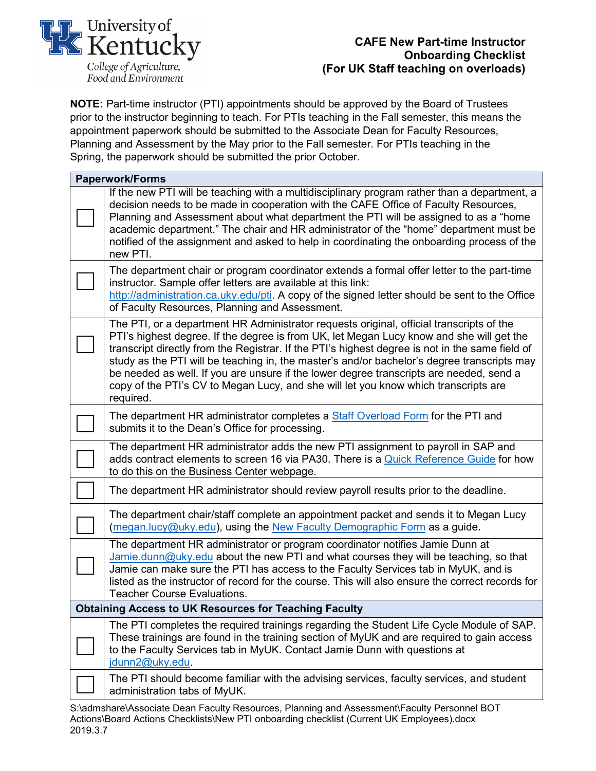

## **CAFE New Part-time Instructor Onboarding Checklist (For UK Staff teaching on overloads)**

**NOTE:** Part-time instructor (PTI) appointments should be approved by the Board of Trustees prior to the instructor beginning to teach. For PTIs teaching in the Fall semester, this means the appointment paperwork should be submitted to the Associate Dean for Faculty Resources, Planning and Assessment by the May prior to the Fall semester. For PTIs teaching in the Spring, the paperwork should be submitted the prior October.

| <b>Paperwork/Forms</b>                                       |                                                                                                                                                                                                                                                                                                                                                                                                                                                                                                                                                                                       |
|--------------------------------------------------------------|---------------------------------------------------------------------------------------------------------------------------------------------------------------------------------------------------------------------------------------------------------------------------------------------------------------------------------------------------------------------------------------------------------------------------------------------------------------------------------------------------------------------------------------------------------------------------------------|
|                                                              | If the new PTI will be teaching with a multidisciplinary program rather than a department, a<br>decision needs to be made in cooperation with the CAFE Office of Faculty Resources,<br>Planning and Assessment about what department the PTI will be assigned to as a "home<br>academic department." The chair and HR administrator of the "home" department must be<br>notified of the assignment and asked to help in coordinating the onboarding process of the<br>new PTI.                                                                                                        |
|                                                              | The department chair or program coordinator extends a formal offer letter to the part-time<br>instructor. Sample offer letters are available at this link:<br>http://administration.ca.uky.edu/pti. A copy of the signed letter should be sent to the Office<br>of Faculty Resources, Planning and Assessment.                                                                                                                                                                                                                                                                        |
|                                                              | The PTI, or a department HR Administrator requests original, official transcripts of the<br>PTI's highest degree. If the degree is from UK, let Megan Lucy know and she will get the<br>transcript directly from the Registrar. If the PTI's highest degree is not in the same field of<br>study as the PTI will be teaching in, the master's and/or bachelor's degree transcripts may<br>be needed as well. If you are unsure if the lower degree transcripts are needed, send a<br>copy of the PTI's CV to Megan Lucy, and she will let you know which transcripts are<br>required. |
|                                                              | The department HR administrator completes a <b>Staff Overload Form</b> for the PTI and<br>submits it to the Dean's Office for processing.                                                                                                                                                                                                                                                                                                                                                                                                                                             |
|                                                              | The department HR administrator adds the new PTI assignment to payroll in SAP and<br>adds contract elements to screen 16 via PA30. There is a Quick Reference Guide for how<br>to do this on the Business Center webpage.                                                                                                                                                                                                                                                                                                                                                             |
|                                                              | The department HR administrator should review payroll results prior to the deadline.                                                                                                                                                                                                                                                                                                                                                                                                                                                                                                  |
|                                                              | The department chair/staff complete an appointment packet and sends it to Megan Lucy<br>(megan.lucy@uky.edu), using the New Faculty Demographic Form as a guide.                                                                                                                                                                                                                                                                                                                                                                                                                      |
|                                                              | The department HR administrator or program coordinator notifies Jamie Dunn at<br>Jamie.dunn@uky.edu about the new PTI and what courses they will be teaching, so that<br>Jamie can make sure the PTI has access to the Faculty Services tab in MyUK, and is<br>listed as the instructor of record for the course. This will also ensure the correct records for<br><b>Teacher Course Evaluations.</b>                                                                                                                                                                                 |
| <b>Obtaining Access to UK Resources for Teaching Faculty</b> |                                                                                                                                                                                                                                                                                                                                                                                                                                                                                                                                                                                       |
|                                                              | The PTI completes the required trainings regarding the Student Life Cycle Module of SAP.<br>These trainings are found in the training section of MyUK and are required to gain access<br>to the Faculty Services tab in MyUK. Contact Jamie Dunn with questions at<br>jdunn2@uky.edu                                                                                                                                                                                                                                                                                                  |
|                                                              | The PTI should become familiar with the advising services, faculty services, and student<br>administration tabs of MyUK.                                                                                                                                                                                                                                                                                                                                                                                                                                                              |